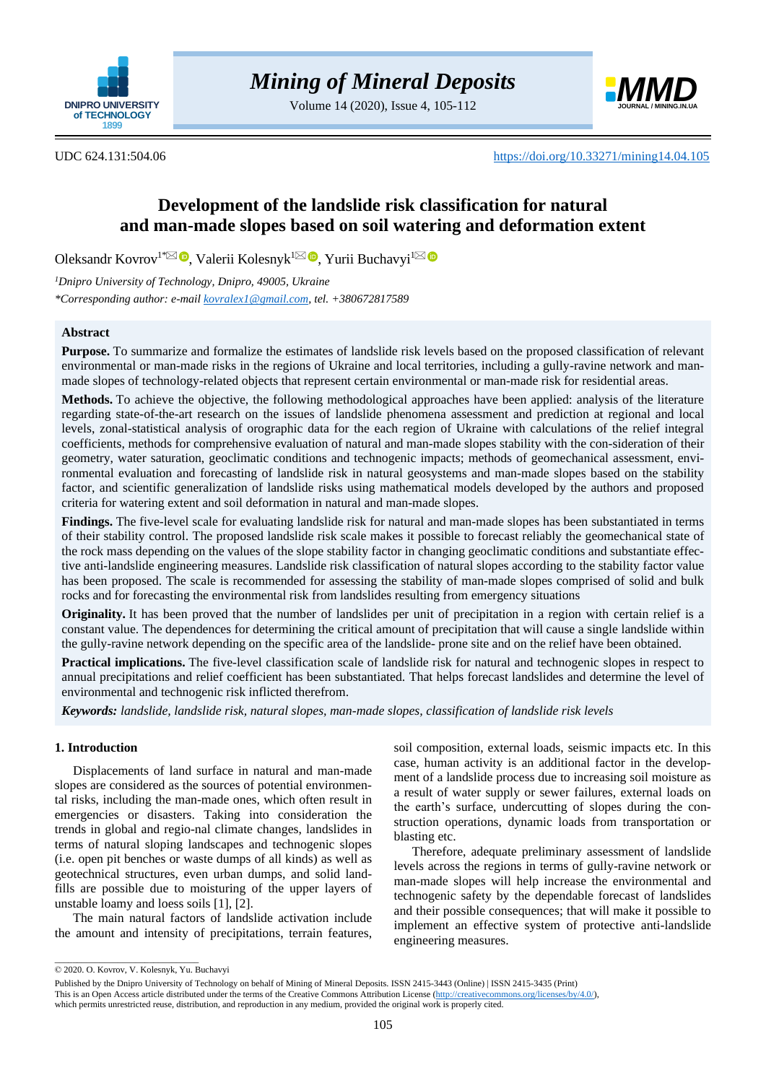

Volume 14 (2020), Issue 4, 105-112



UDC 624.131:504.06 <https://doi.org/10.33271/mining14.04.105>

# **Development of the landslide risk classification for natural and man-made slopes based on soil watering and deformation extent**

Oleksandr Kovrov<sup>1[\\*](mailto:kovralex1@gmail.com)⊠</sup> ®[,](https://orcid.org/0000-0003-2349-3576) Valerii Kolesnyk<sup>[1](mailto:yurique@3g.ua)⊠ ®</sup>, Yurii Buchavyi<sup>1</sup>

*<sup>1</sup>Dnipro University of Technology, Dnipro, 49005, Ukraine \*Corresponding author: e-mail [kovralex1@gmail.com,](mailto:kovralex1@gmail.com) tel. +380672817589*

# **Abstract**

**Purpose.** To summarize and formalize the estimates of landslide risk levels based on the proposed classification of relevant environmental or man-made risks in the regions of Ukraine and local territories, including a gully-ravine network and manmade slopes of technology-related objects that represent certain environmental or man-made risk for residential areas.

**Methods.** To achieve the objective, the following methodological approaches have been applied: analysis of the literature regarding state-of-the-art research on the issues of landslide phenomena assessment and prediction at regional and local levels, zonal-statistical analysis of orographic data for the each region of Ukraine with calculations of the relief integral coefficients, methods for comprehensive evaluation of natural and man-made slopes stability with the con-sideration of their geometry, water saturation, geoclimatic conditions and technogenic impacts; methods of geomechanical assessment, environmental evaluation and forecasting of landslide risk in natural geosystems and man-made slopes based on the stability factor, and scientific generalization of landslide risks using mathematical models developed by the authors and proposed criteria for watering extent and soil deformation in natural and man-made slopes.

**Findings.** The five-level scale for evaluating landslide risk for natural and man-made slopes has been substantiated in terms of their stability control. The proposed landslide risk scale makes it possible to forecast reliably the geomechanical state of the rock mass depending on the values of the slope stability factor in changing geoclimatic conditions and substantiate effective anti-landslide engineering measures. Landslide risk classification of natural slopes according to the stability factor value has been proposed. The scale is recommended for assessing the stability of man-made slopes comprised of solid and bulk rocks and for forecasting the environmental risk from landslides resulting from emergency situations

**Originality.** It has been proved that the number of landslides per unit of precipitation in a region with certain relief is a constant value. The dependences for determining the critical amount of precipitation that will cause a single landslide within the gully-ravine network depending on the specific area of the landslide- prone site and on the relief have been obtained.

**Practical implications.** The five-level classification scale of landslide risk for natural and technogenic slopes in respect to annual precipitations and relief coefficient has been substantiated. That helps forecast landslides and determine the level of environmental and technogenic risk inflicted therefrom.

*Keywords: landslide, landslide risk, natural slopes, man-made slopes, classification of landslide risk levels*

# **1. Introduction**

Displacements of land surface in natural and man-made slopes are considered as the sources of potential environmental risks, including the man-made ones, which often result in emergencies or disasters. Taking into consideration the trends in global and regio-nal climate changes, landslides in terms of natural sloping landscapes and technogenic slopes (i.e. open pit benches or waste dumps of all kinds) as well as geotechnical structures, even urban dumps, and solid landfills are possible due to moisturing of the upper layers of unstable loamy and loess soils [\[1\],](#page-6-0) [\[2\].](#page-6-1)

The main natural factors of landslide activation include the amount and intensity of precipitations, terrain features,

soil composition, external loads, seismic impacts etc. In this case, human activity is an additional factor in the development of a landslide process due to increasing soil moisture as a result of water supply or sewer failures, external loads on the earth's surface, undercutting of slopes during the construction operations, dynamic loads from transportation or blasting etc.

Therefore, adequate preliminary assessment of landslide levels across the regions in terms of gully-ravine network or man-made slopes will help increase the environmental and technogenic safety by the dependable forecast of landslides and their possible consequences; that will make it possible to implement an effective system of protective anti-landslide engineering measures.

 $\_$ 

<sup>© 2020.</sup> O. Kovrov, V. Kolesnyk, Yu. Buchavyi

Published by the Dnipro University of Technology on behalf of Mining of Mineral Deposits. ISSN 2415-3443 (Online) | ISSN 2415-3435 (Print)

This is an Open Access article distributed under the terms of the Creative Commons Attribution License [\(http://creativecommons.org/licenses/by/4.0/\)](http://creativecommons.org/licenses/by/4.0/),

which permits unrestricted reuse, distribution, and reproduction in any medium, provided the original work is properly cited.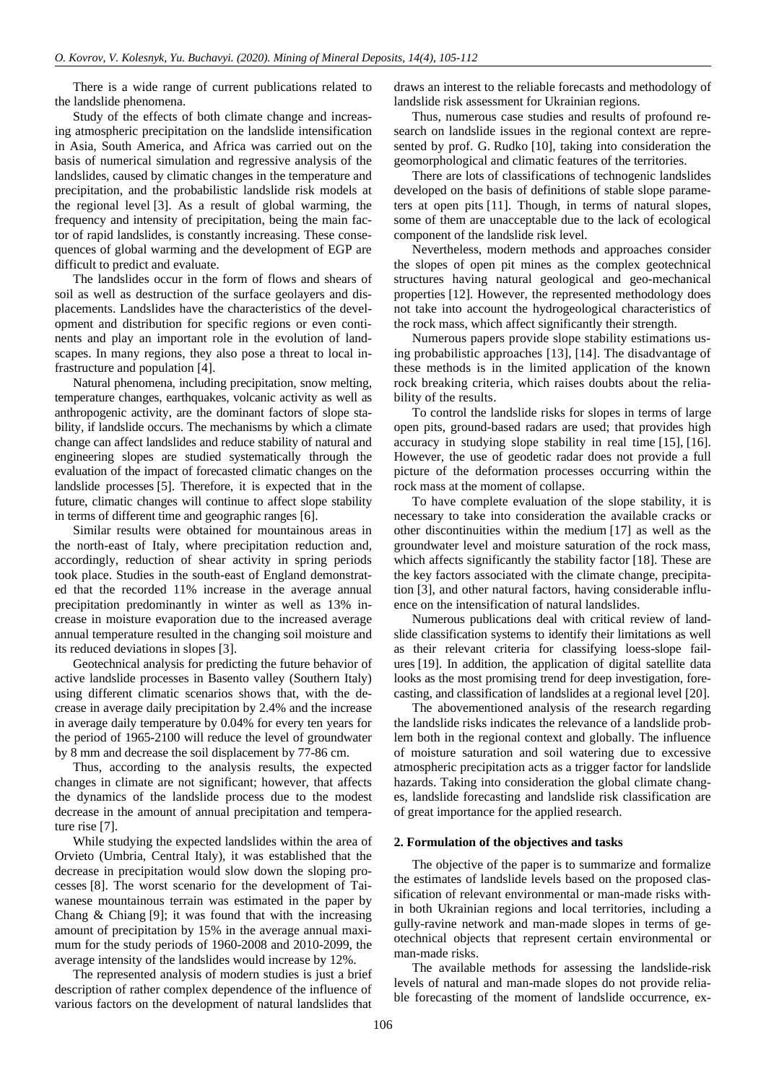There is a wide range of current publications related to the landslide phenomena.

Study of the effects of both climate change and increasing atmospheric precipitation on the landslide intensification in Asia, South America, and Africa was carried out on the basis of numerical simulation and regressive analysis of the landslides, caused by climatic changes in the temperature and precipitation, and the probabilistic landslide risk models at the regional level [\[3\].](#page-6-2) As a result of global warming, the frequency and intensity of precipitation, being the main factor of rapid landslides, is constantly increasing. These consequences of global warming and the development of EGP are difficult to predict and evaluate.

The landslides occur in the form of flows and shears of soil as well as destruction of the surface geolayers and displacements. Landslides have the characteristics of the development and distribution for specific regions or even continents and play an important role in the evolution of landscapes. In many regions, they also pose a threat to local infrastructure and population [\[4\].](#page-6-3)

Natural phenomena, including precipitation, snow melting, temperature changes, earthquakes, volcanic activity as well as anthropogenic activity, are the dominant factors of slope stability, if landslide occurs. The mechanisms by which a climate change can affect landslides and reduce stability of natural and engineering slopes are studied systematically through the evaluation of the impact of forecasted climatic changes on the landslide processes [\[5\].](#page-6-4) Therefore, it is expected that in the future, climatic changes will continue to affect slope stability in terms of different time and geographic ranges [\[6\].](#page-6-5)

Similar results were obtained for mountainous areas in the north-east of Italy, where precipitation reduction and, accordingly, reduction of shear activity in spring periods took place. Studies in the south-east of England demonstrated that the recorded 11% increase in the average annual precipitation predominantly in winter as well as 13% increase in moisture evaporation due to the increased average annual temperature resulted in the changing soil moisture and its reduced deviations in slopes [\[3\].](#page-6-2)

Geotechnical analysis for predicting the future behavior of active landslide processes in Basento valley (Southern Italy) using different climatic scenarios shows that, with the decrease in average daily precipitation by 2.4% and the increase in average daily temperature by 0.04% for every ten years for the period of 1965-2100 will reduce the level of groundwater by 8 mm and decrease the soil displacement by 77-86 cm.

Thus, according to the analysis results, the expected changes in climate are not significant; however, that affects the dynamics of the landslide process due to the modest decrease in the amount of annual precipitation and temperature rise [\[7\].](#page-6-6)

While studying the expected landslides within the area of Orvieto (Umbria, Central Italy), it was established that the decrease in precipitation would slow down the sloping processes [\[8\].](#page-6-7) The worst scenario for the development of Taiwanese mountainous terrain was estimated in the paper by Chang  $\&$  Chiang [\[9\];](#page-6-8) it was found that with the increasing amount of precipitation by 15% in the average annual maximum for the study periods of 1960-2008 and 2010-2099, the average intensity of the landslides would increase by 12%.

The represented analysis of modern studies is just a brief description of rather complex dependence of the influence of various factors on the development of natural landslides that

draws an interest to the reliable forecasts and methodology of landslide risk assessment for Ukrainian regions.

Thus, numerous case studies and results of profound research on landslide issues in the regional context are represented by prof. G. Rudko [\[10\],](#page-6-9) taking into consideration the geomorphological and climatic features of the territories.

There are lots of classifications of technogenic landslides developed on the basis of definitions of stable slope parameters at open pits [\[11\].](#page-6-10) Though, in terms of natural slopes, some of them are unacceptable due to the lack of ecological component of the landslide risk level.

Nevertheless, modern methods and approaches consider the slopes of open pit mines as the complex geotechnical structures having natural geological and geo-mechanical properties [\[12\].](#page-6-11) However, the represented methodology does not take into account the hydrogeological characteristics of the rock mass, which affect significantly their strength.

Numerous papers provide slope stability estimations using probabilistic approaches [\[13\],](#page-6-12) [\[14\].](#page-6-13) The disadvantage of these methods is in the limited application of the known rock breaking criteria, which raises doubts about the reliability of the results.

To control the landslide risks for slopes in terms of large open pits, ground-based radars are used; that provides high accuracy in studying slope stability in real time [\[15\],](#page-6-14) [\[16\].](#page-6-15) However, the use of geodetic radar does not provide a full picture of the deformation processes occurring within the rock mass at the moment of collapse.

To have complete evaluation of the slope stability, it is necessary to take into consideration the available cracks or other discontinuities within the medium [\[17\]](#page-6-16) as well as the groundwater level and moisture saturation of the rock mass, which affects significantly the stability factor [\[18\].](#page-7-0) These are the key factors associated with the climate change, precipitation [\[3\],](#page-6-2) and other natural factors, having considerable influence on the intensification of natural landslides.

Numerous publications deal with critical review of landslide classification systems to identify their limitations as well as their relevant criteria for classifying loess-slope failures [\[19\].](#page-7-1) In addition, the application of digital satellite data looks as the most promising trend for deep investigation, forecasting, and classification of landslides at a regional level [\[20\].](#page-7-2)

The abovementioned analysis of the research regarding the landslide risks indicates the relevance of a landslide problem both in the regional context and globally. The influence of moisture saturation and soil watering due to excessive atmospheric precipitation acts as a trigger factor for landslide hazards. Taking into consideration the global climate changes, landslide forecasting and landslide risk classification are of great importance for the applied research.

#### **2. Formulation of the objectives and tasks**

The objective of the paper is to summarize and formalize the estimates of landslide levels based on the proposed classification of relevant environmental or man-made risks within both Ukrainian regions and local territories, including a gully-ravine network and man-made slopes in terms of geotechnical objects that represent certain environmental or man-made risks.

The available methods for assessing the landslide-risk levels of natural and man-made slopes do not provide reliable forecasting of the moment of landslide occurrence, ex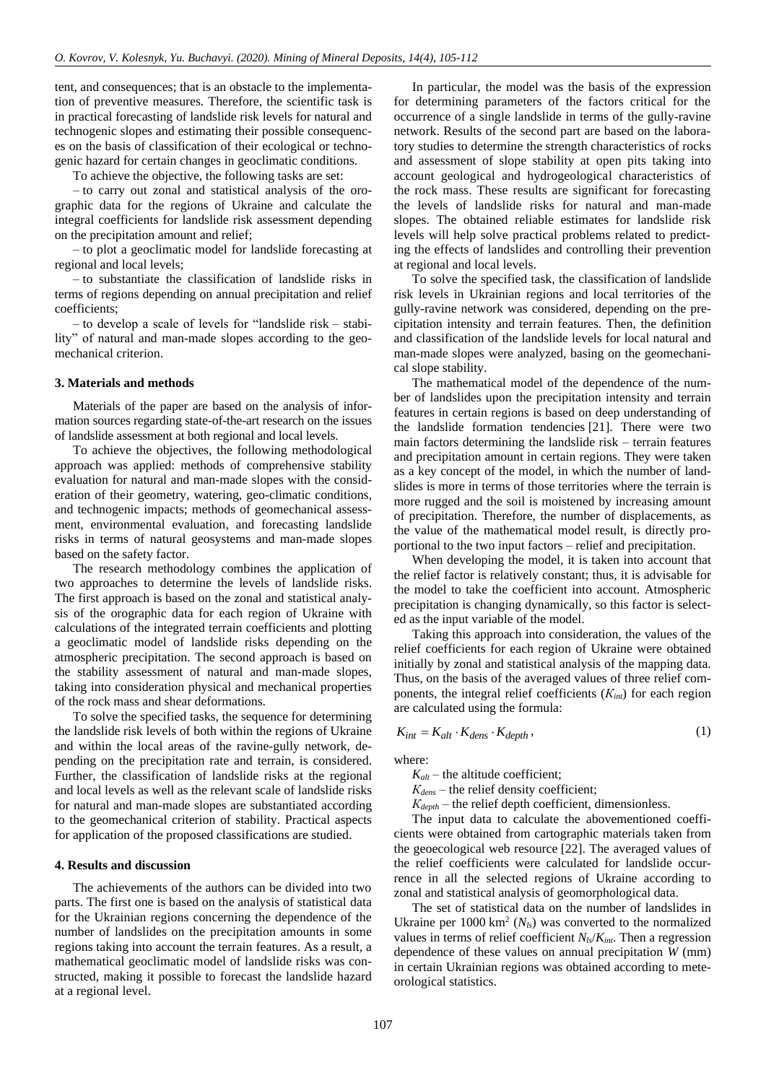tent, and consequences; that is an obstacle to the implementation of preventive measures. Therefore, the scientific task is in practical forecasting of landslide risk levels for natural and technogenic slopes and estimating their possible consequences on the basis of classification of their ecological or technogenic hazard for certain changes in geoclimatic conditions.

To achieve the objective, the following tasks are set:

– to carry out zonal and statistical analysis of the orographic data for the regions of Ukraine and calculate the integral coefficients for landslide risk assessment depending on the precipitation amount and relief;

– to plot a geoclimatic model for landslide forecasting at regional and local levels;

– to substantiate the classification of landslide risks in terms of regions depending on annual precipitation and relief coefficients;

– to develop a scale of levels for "landslide risk – stability" of natural and man-made slopes according to the geomechanical criterion.

#### **3. Materials and methods**

Materials of the paper are based on the analysis of information sources regarding state-of-the-art research on the issues of landslide assessment at both regional and local levels.

To achieve the objectives, the following methodological approach was applied: methods of comprehensive stability evaluation for natural and man-made slopes with the consideration of their geometry, watering, geo-climatic conditions, and technogenic impacts; methods of geomechanical assessment, environmental evaluation, and forecasting landslide risks in terms of natural geosystems and man-made slopes based on the safety factor.

The research methodology combines the application of two approaches to determine the levels of landslide risks. The first approach is based on the zonal and statistical analysis of the orographic data for each region of Ukraine with calculations of the integrated terrain coefficients and plotting a geoclimatic model of landslide risks depending on the atmospheric precipitation. The second approach is based on the stability assessment of natural and man-made slopes, taking into consideration physical and mechanical properties of the rock mass and shear deformations.

To solve the specified tasks, the sequence for determining the landslide risk levels of both within the regions of Ukraine and within the local areas of the ravine-gully network, depending on the precipitation rate and terrain, is considered. Further, the classification of landslide risks at the regional and local levels as well as the relevant scale of landslide risks for natural and man-made slopes are substantiated according to the geomechanical criterion of stability. Practical aspects for application of the proposed classifications are studied.

#### **4. Results and discussion**

The achievements of the authors can be divided into two parts. The first one is based on the analysis of statistical data for the Ukrainian regions concerning the dependence of the number of landslides on the precipitation amounts in some regions taking into account the terrain features. As a result, a mathematical geoclimatic model of landslide risks was constructed, making it possible to forecast the landslide hazard at a regional level.

In particular, the model was the basis of the expression for determining parameters of the factors critical for the occurrence of a single landslide in terms of the gully-ravine network. Results of the second part are based on the laboratory studies to determine the strength characteristics of rocks and assessment of slope stability at open pits taking into account geological and hydrogeological characteristics of the rock mass. These results are significant for forecasting the levels of landslide risks for natural and man-made slopes. The obtained reliable estimates for landslide risk levels will help solve practical problems related to predicting the effects of landslides and controlling their prevention at regional and local levels.

To solve the specified task, the classification of landslide risk levels in Ukrainian regions and local territories of the gully-ravine network was considered, depending on the precipitation intensity and terrain features. Then, the definition and classification of the landslide levels for local natural and man-made slopes were analyzed, basing on the geomechanical slope stability.

The mathematical model of the dependence of the number of landslides upon the precipitation intensity and terrain features in certain regions is based on deep understanding of the landslide formation tendencies [\[21\].](#page-7-3) There were two main factors determining the landslide risk – terrain features and precipitation amount in certain regions. They were taken as a key concept of the model, in which the number of landslides is more in terms of those territories where the terrain is more rugged and the soil is moistened by increasing amount of precipitation. Therefore, the number of displacements, as the value of the mathematical model result, is directly proportional to the two input factors – relief and precipitation.

When developing the model, it is taken into account that the relief factor is relatively constant; thus, it is advisable for the model to take the coefficient into account. Atmospheric precipitation is changing dynamically, so this factor is selected as the input variable of the model.

Taking this approach into consideration, the values of the relief coefficients for each region of Ukraine were obtained initially by zonal and statistical analysis of the mapping data. Thus, on the basis of the averaged values of three relief components, the integral relief coefficients (*Кint*) for each region are calculated using the formula:

$$
K_{int} = K_{alt} \cdot K_{dens} \cdot K_{depth},\tag{1}
$$

where:

 $K_{alt}$  – the altitude coefficient;

 $K_{dens}$  – the relief density coefficient;

*Кdepth* – the relief depth coefficient, dimensionless.

The input data to calculate the abovementioned coefficients were obtained from cartographic materials taken from the geoecological web resource [\[22\].](#page-7-4) The averaged values of the relief coefficients were calculated for landslide occurrence in all the selected regions of Ukraine according to zonal and statistical analysis of geomorphological data.

The set of statistical data on the number of landslides in Ukraine per  $1000 \text{ km}^2$  ( $N_{ls}$ ) was converted to the normalized values in terms of relief coefficient  $N_{ls}/K_{int}$ . Then a regression dependence of these values on annual precipitation *W* (mm) in certain Ukrainian regions was obtained according to meteorological statistics.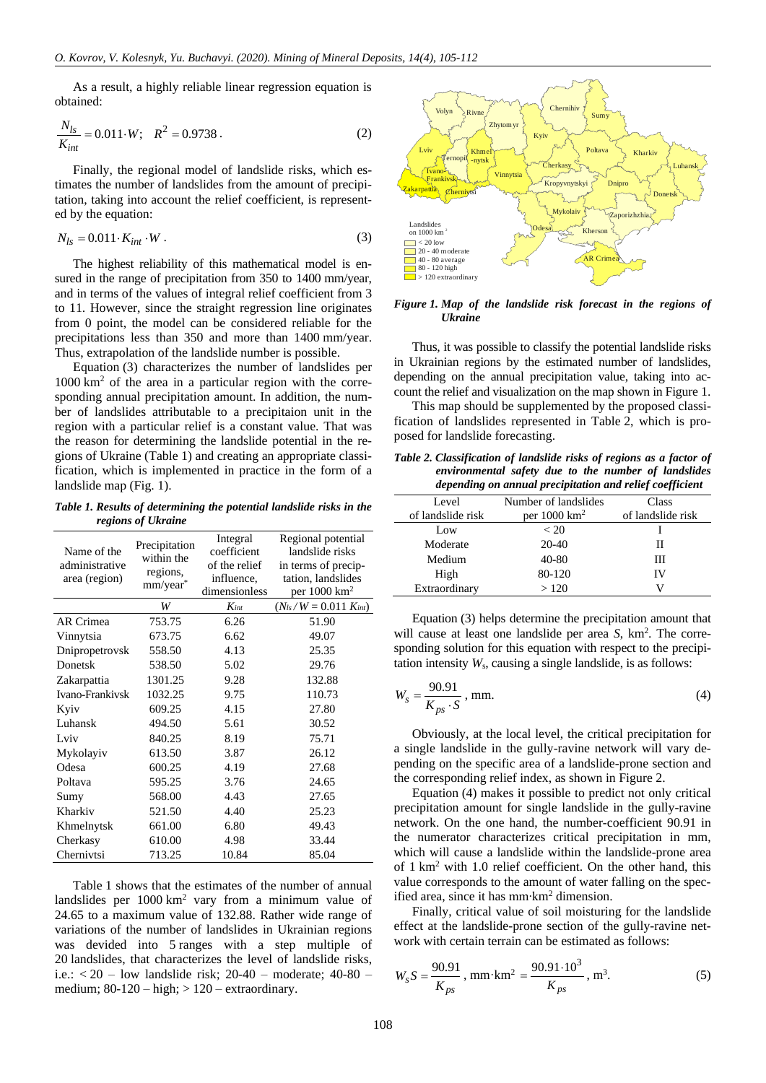As a result, a highly reliable linear regression equation is obtained:

$$
\frac{N_{ls}}{K_{int}} = 0.011 \cdot W; \quad R^2 = 0.9738 \,. \tag{2}
$$

Finally, the regional model of landslide risks, which estimates the number of landslides from the amount of precipitation, taking into account the relief coefficient, is represented by the equation:

$$
N_{ls} = 0.011 \cdot K_{int} \cdot W \tag{3}
$$

The highest reliability of this mathematical model is ensured in the range of precipitation from 350 to 1400 mm/year, and in terms of the values of integral relief coefficient from 3 to 11. However, since the straight regression line originates from 0 point, the model can be considered reliable for the precipitations less than 350 and more than 1400 mm/year. Thus, extrapolation of the landslide number is possible.

Equation (3) characterizes the number of landslides per  $1000 \text{ km}^2$  of the area in a particular region with the corresponding annual precipitation amount. In addition, the number of landslides attributable to a precipitaion unit in the region with a particular relief is a constant value. That was the reason for determining the landslide potential in the regions of Ukraine (Table 1) and creating an appropriate classification, which is implemented in practice in the form of a landslide map (Fig. 1).

*Table 1. Results of determining the potential landslide risks in the regions of Ukraine*

| Name of the<br>administrative<br>area (region) | Precipitation<br>within the<br>regions,<br>$mm/year*$ | Integral      | Regional potential           |
|------------------------------------------------|-------------------------------------------------------|---------------|------------------------------|
|                                                |                                                       | coefficient   | landslide risks              |
|                                                |                                                       | of the relief | in terms of precip-          |
|                                                |                                                       | influence,    | tation, landslides           |
|                                                |                                                       | dimensionless | per $1000 \text{ km}^2$      |
|                                                | W                                                     | $K_{int}$     | $(N_{ls}/W = 0.011 K_{int})$ |
| AR Crimea                                      | 753.75                                                | 6.26          | 51.90                        |
| Vinnytsia                                      | 673.75                                                | 6.62          | 49.07                        |
| Dnipropetrovsk                                 | 558.50                                                | 4.13          | 25.35                        |
| Donetsk                                        | 538.50                                                | 5.02          | 29.76                        |
| Zakarpattia                                    | 1301.25                                               | 9.28          | 132.88                       |
| Ivano-Frankivsk                                | 1032.25                                               | 9.75          | 110.73                       |
| Kyiv                                           | 609.25                                                | 4.15          | 27.80                        |
| Luhansk                                        | 494.50                                                | 5.61          | 30.52                        |
| Lviv                                           | 840.25                                                | 8.19          | 75.71                        |
| Mykolayiv                                      | 613.50                                                | 3.87          | 26.12                        |
| Odesa                                          | 600.25                                                | 4.19          | 27.68                        |
| Poltava                                        | 595.25                                                | 3.76          | 24.65                        |
| Sumy                                           | 568.00                                                | 4.43          | 27.65                        |
| Kharkiv                                        | 521.50                                                | 4.40          | 25.23                        |
| Khmelnytsk                                     | 661.00                                                | 6.80          | 49.43                        |
| Cherkasy                                       | 610.00                                                | 4.98          | 33.44                        |
| Chernivtsi                                     | 713.25                                                | 10.84         | 85.04                        |

Table 1 shows that the estimates of the number of annual landslides per  $1000 \text{ km}^2$  vary from a minimum value of 24.65 to a maximum value of 132.88. Rather wide range of variations of the number of landslides in Ukrainian regions was devided into 5 ranges with a step multiple of 20 landslides, that characterizes the level of landslide risks, i.e.:  $< 20$  – low landslide risk;  $20-40$  – moderate;  $40-80$  – medium;  $80-120 - high$ ;  $> 120 - extra$ ordinary.



*Figure 1. Map of the landslide risk forecast in the regions of Ukraine*

Thus, it was possible to classify the potential landslide risks in Ukrainian regions by the estimated number of landslides, depending on the annual precipitation value, taking into account the relief and visualization on the map shown in Figure 1.

This map should be supplemented by the proposed classification of landslides represented in Table 2, which is proposed for landslide forecasting.

*Table 2. Classification of landslide risks of regions as a factor of environmental safety due to the number of landslides depending on annual precipitation and relief coefficient*

| Level             | Number of landslides    | Class             |
|-------------------|-------------------------|-------------------|
| of landslide risk | per $1000 \text{ km}^2$ | of landslide risk |
| Low               | < 20                    |                   |
| Moderate          | $20-40$                 | Н                 |
| Medium            | 40-80                   | Ш                 |
| High              | 80-120                  | IV                |
| Extraordinary     | >120                    |                   |

Equation (3) helps determine the precipitation amount that will cause at least one landslide per area *S*, km<sup>2</sup>. The corresponding solution for this equation with respect to the precipitation intensity *W*s, causing a single landslide, is as follows:

$$
W_s = \frac{90.91}{K_{ps} \cdot S}, \text{ mm.}
$$
 (4)

Obviously, at the local level, the critical precipitation for a single landslide in the gully-ravine network will vary depending on the specific area of a landslide-prone section and the corresponding relief index, as shown in Figure 2.

Equation (4) makes it possible to predict not only critical precipitation amount for single landslide in the gully-ravine network. On the one hand, the number-coefficient 90.91 in the numerator characterizes critical precipitation in mm, which will cause a landslide within the landslide-prone area of 1 km<sup>2</sup> with 1.0 relief coefficient. On the other hand, this value corresponds to the amount of water falling on the specified area, since it has mm∙km<sup>2</sup> dimension.

Finally, critical value of soil moisturing for the landslide effect at the landslide-prone section of the gully-ravine network with certain terrain can be estimated as follows:

$$
W_s S = \frac{90.91}{K_{ps}}, \text{ mm} \cdot \text{km}^2 = \frac{90.91 \cdot 10^3}{K_{ps}}, \text{ m}^3. \tag{5}
$$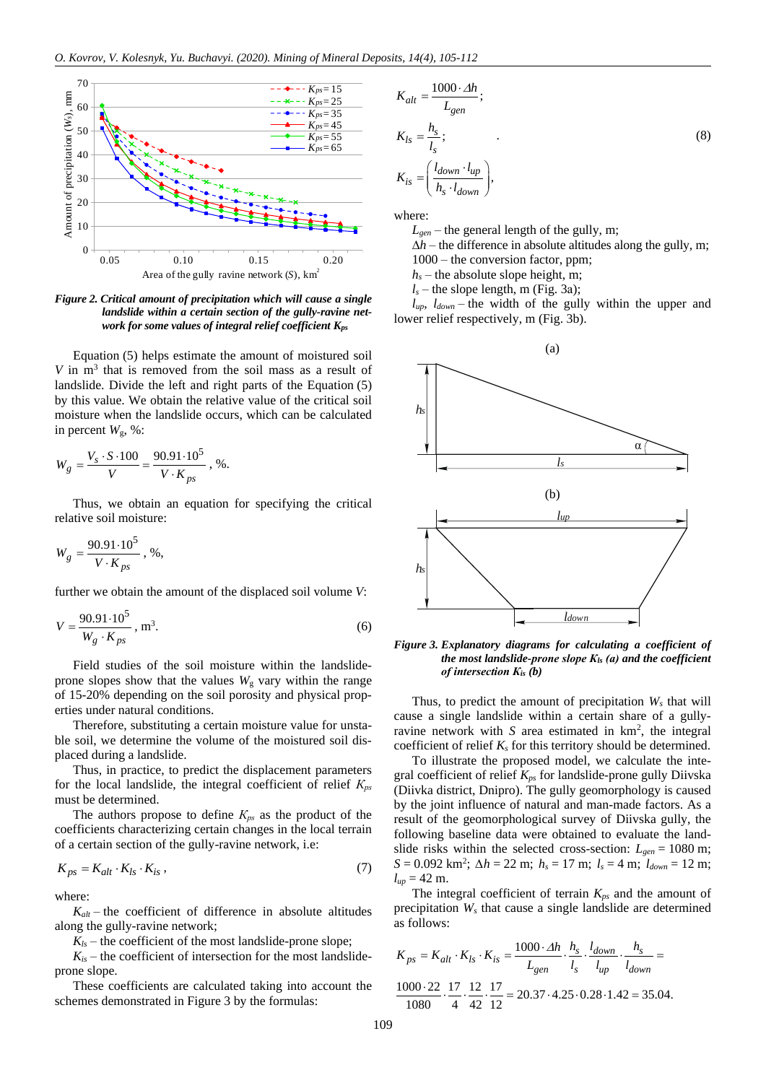

*Figure 2. Critical amount of precipitation which will cause a single landslide within a certain section of the gully-ravine network for some values of integral relief coefficient Kps*

Equation (5) helps estimate the amount of moistured soil *V* in m<sup>3</sup> that is removed from the soil mass as a result of landslide. Divide the left and right parts of the Equation (5) by this value. We obtain the relative value of the critical soil moisture when the landslide occurs, which can be calculated in percent  $W_{\rm g}$ , %:

$$
W_g = \frac{V_s \cdot S \cdot 100}{V} = \frac{90.91 \cdot 10^5}{V \cdot K_{ps}}, \, \%
$$

Thus, we obtain an equation for specifying the critical relative soil moisture:

$$
W_g = \frac{90.91 \cdot 10^5}{V \cdot K_{ps}}, \, \%
$$

further we obtain the amount of the displaced soil volume *V*:

$$
V = \frac{90.91 \cdot 10^5}{W_g \cdot K_{ps}}, \, \text{m}^3. \tag{6}
$$

Field studies of the soil moisture within the landslideprone slopes show that the values  $W<sub>g</sub>$  vary within the range of 15-20% depending on the soil porosity and physical properties under natural conditions.

Therefore, substituting a certain moisture value for unstable soil, we determine the volume of the moistured soil displaced during a landslide.

Thus, in practice, to predict the displacement parameters for the local landslide, the integral coefficient of relief *Крs* must be determined.

The authors propose to define *Крs* as the product of the coefficients characterizing certain changes in the local terrain of a certain section of the gully-ravine network, i.e:

$$
K_{ps} = K_{alt} \cdot K_{ls} \cdot K_{is} \,,\tag{7}
$$

where:

 $K_{alt}$  – the coefficient of difference in absolute altitudes along the gully-ravine network;

 $K_{ls}$  – the coefficient of the most landslide-prone slope;

 $K_{is}$  – the coefficient of intersection for the most landslideprone slope.

These coefficients are calculated taking into account the

$$
K_{alt} = \frac{1000 \cdot \Delta h}{L_{gen}};
$$
  
\n
$$
K_{ls} = \frac{h_s}{l_s};
$$
  
\n
$$
K_{is} = \left(\frac{l_{down} \cdot l_{up}}{h_s \cdot l_{down}}\right),
$$
  
\n(8)

where:

 $L_{\text{gen}}$  – the general length of the gully, m;

 $\Delta h$  – the difference in absolute altitudes along the gully, m; 1000 – the conversion factor, ppm;

 $h<sub>s</sub>$  – the absolute slope height, m;

 $l<sub>s</sub>$  – the slope length, m (Fig. 3a);

 $l_{up}$ ,  $l_{down}$  – the width of the gully within the upper and lower relief respectively, m (Fig. 3b).



*Figure 3. Explanatory diagrams for calculating a coefficient of the most landslide-prone slope Кls (а) and the coefficient of intersection Кis (b)*

Thus, to predict the amount of precipitation *W<sup>s</sup>* that will cause a single landslide within a certain share of a gullyravine network with  $S$  area estimated in  $km^2$ , the integral coefficient of relief  $K_s$  for this territory should be determined.

To illustrate the proposed model, we calculate the integral coefficient of relief *Kps* for landslide-prone gully Diivska (Diivka district, Dnipro). The gully geomorphology is caused by the joint influence of natural and man-made factors. As a result of the geomorphological survey of Diivska gully, the following baseline data were obtained to evaluate the landslide risks within the selected cross-section: *Lgen* = 1080 m; *S* = 0.092 km<sup>2</sup> ; *∆h* = 22 m; *h<sup>s</sup>* = 17 m; *l<sup>s</sup>* = 4 m; *ldown* = 12 m;  $l_{up} = 42$  m.

The integral coefficient of terrain *Kps* and the amount of precipitation *W<sup>s</sup>* that cause a single landslide are determined as follows:

as follows:  
\n
$$
K_{ps} = K_{alt} \cdot K_{ls} \cdot K_{is} = \frac{1000 \cdot \Delta h}{L_{gen}} \cdot \frac{h_s}{l_s} \cdot \frac{l_{down}}{l_{up}} \cdot \frac{h_s}{l_{down}} = \frac{1000 \cdot 22}{1080} \cdot \frac{17}{4} \cdot \frac{12}{42} \cdot \frac{17}{12} = 20.37 \cdot 4.25 \cdot 0.28 \cdot 1.42 = 35.04.
$$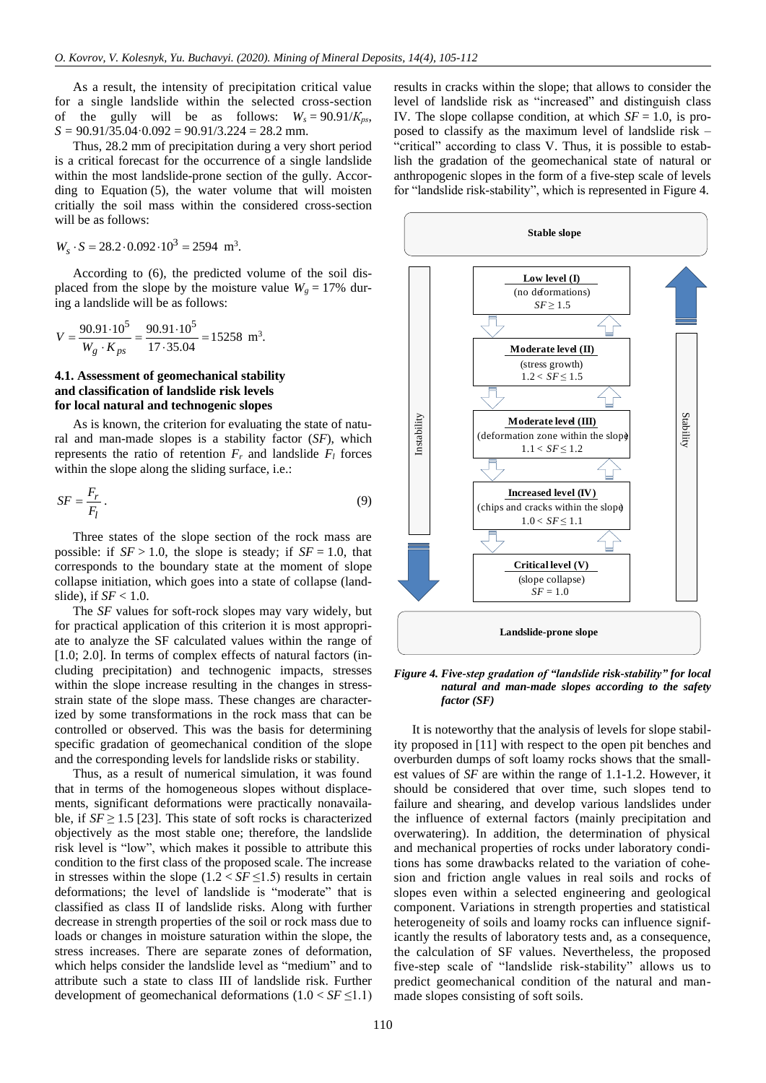As a result, the intensity of precipitation critical value for a single landslide within the selected cross-section of the gully will be as follows:  $W_s = 90.91/K_{ps}$ , *S =* 90.91/35.04·0.092 = 90.91/3.224 = 28.2 mm.

Thus, 28.2 mm of precipitation during a very short period is a critical forecast for the occurrence of a single landslide within the most landslide-prone section of the gully. According to Equation (5), the water volume that will moisten critially the soil mass within the considered cross-section will be as follows:

$$
W_s \cdot S = 28.2 \cdot 0.092 \cdot 10^3 = 2594 \text{ m}^3.
$$

According to (6), the predicted volume of the soil displaced from the slope by the moisture value  $W_g = 17\%$  during a landslide will be as follows:

$$
V = \frac{90.91 \cdot 10^5}{W_g \cdot K_{ps}} = \frac{90.91 \cdot 10^5}{17 \cdot 35.04} = 15258 \text{ m}^3.
$$

### **4.1. Assessment of geomechanical stability and classification of landslide risk levels for local natural and technogenic slopes**

As is known, the criterion for evaluating the state of natural and man-made slopes is a stability factor (*SF*), which represents the ratio of retention  $F_r$  and landslide  $F_l$  forces within the slope along the sliding surface, i.e.:

$$
SF = \frac{F_r}{F_l} \,. \tag{9}
$$

Three states of the slope section of the rock mass are possible: if  $SF > 1.0$ , the slope is steady; if  $SF = 1.0$ , that corresponds to the boundary state at the moment of slope collapse initiation, which goes into a state of collapse (landslide), if *SF* < 1.0.

The *SF* values for soft-rock slopes may vary widely, but for practical application of this criterion it is most appropriate to analyze the SF calculated values within the range of [1.0; 2.0]. In terms of complex effects of natural factors (including precipitation) and technogenic impacts, stresses within the slope increase resulting in the changes in stressstrain state of the slope mass. These changes are characterized by some transformations in the rock mass that can be controlled or observed. This was the basis for determining specific gradation of geomechanical condition of the slope and the corresponding levels for landslide risks or stability.

Thus, as a result of numerical simulation, it was found that in terms of the homogeneous slopes without displacements, significant deformations were practically nonavailable, if  $SF \geq 1.5$  [\[23\].](#page-7-5) This state of soft rocks is characterized objectively as the most stable one; therefore, the landslide risk level is "low", which makes it possible to attribute this condition to the first class of the proposed scale. The increase in stresses within the slope  $(1.2 < SF \le 1.5)$  results in certain deformations; the level of landslide is "moderate" that is classified as class II of landslide risks. Along with further decrease in strength properties of the soil or rock mass due to loads or changes in moisture saturation within the slope, the stress increases. There are separate zones of deformation, which helps consider the landslide level as "medium" and to attribute such a state to class III of landslide risk. Further development of geomechanical deformations  $(1.0 < SF \le 1.1)$  results in cracks within the slope; that allows to consider the level of landslide risk as "increased" and distinguish class IV. The slope collapse condition, at which *SF* = 1.0, is proposed to classify as the maximum level of landslide risk – "critical" according to class V. Thus, it is possible to establish the gradation of the geomechanical state of natural or anthropogenic slopes in the form of a five-step scale of levels for "landslide risk-stability", which is represented in Figure 4.



#### *Figure 4. Five-step gradation of "landslide risk-stability" for local natural and man-made slopes according to the safety factor (SF)*

It is noteworthy that the analysis of levels for slope stability proposed in [\[11\]](#page-6-10) with respect to the open pit benches and overburden dumps of soft loamy rocks shows that the smallest values of *SF* are within the range of 1.1-1.2. However, it should be considered that over time, such slopes tend to failure and shearing, and develop various landslides under the influence of external factors (mainly precipitation and overwatering). In addition, the determination of physical and mechanical properties of rocks under laboratory conditions has some drawbacks related to the variation of cohesion and friction angle values in real soils and rocks of slopes even within a selected engineering and geological component. Variations in strength properties and statistical heterogeneity of soils and loamy rocks can influence significantly the results of laboratory tests and, as a consequence, the calculation of SF values. Nevertheless, the proposed five-step scale of "landslide risk-stability" allows us to predict geomechanical condition of the natural and manmade slopes consisting of soft soils.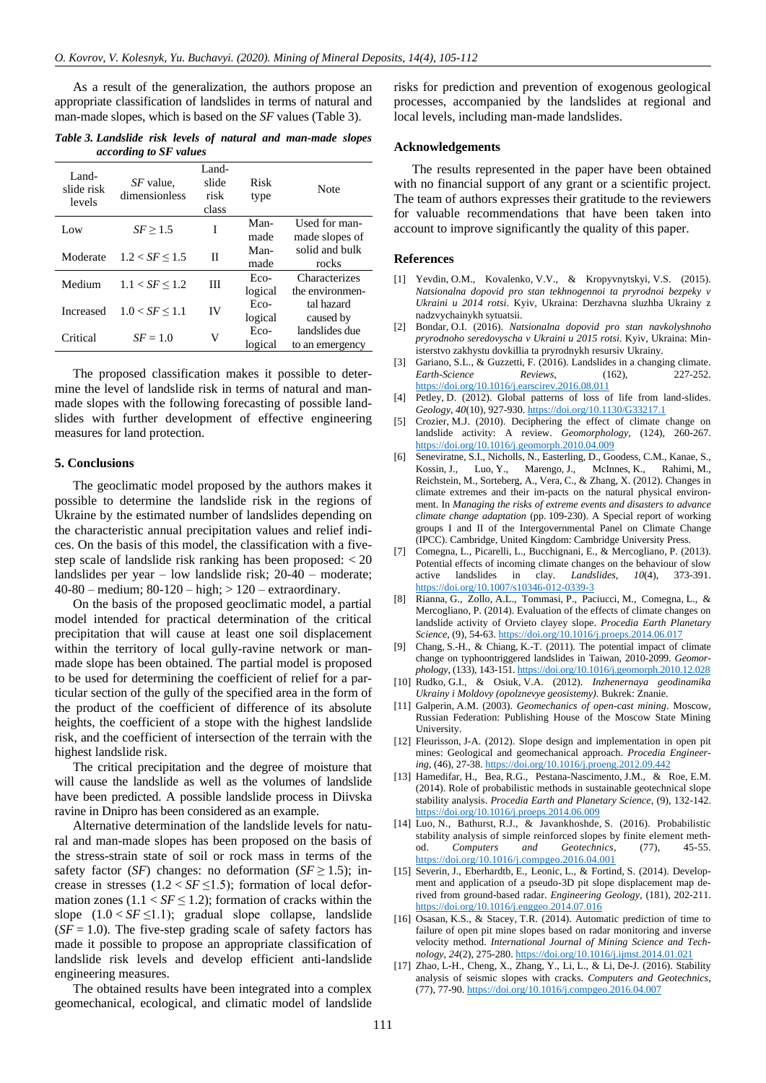As a result of the generalization, the authors propose an appropriate classification of landslides in terms of natural and man-made slopes, which is based on the *SF* values (Table 3).

*Table 3. Landslide risk levels of natural and man-made slopes according to SF values*

| <i>SF</i> value.<br>dimensionless | Land-<br>slide<br>risk<br>class | Risk<br>type | Note            |
|-----------------------------------|---------------------------------|--------------|-----------------|
| SF > 1.5                          | I                               | Man-         | Used for man-   |
|                                   |                                 |              | made slopes of  |
| $1.2 < SF \le 1.5$                | П                               | Man-         | solid and bulk  |
|                                   |                                 | made         | rocks           |
| $1.1 < SF \le 1.2$                | Ш                               | Eco-         | Characterizes   |
|                                   |                                 | logical      | the environmen- |
| $1.0 < SF \le 1.1$                | IV                              | Eco-         | tal hazard      |
|                                   |                                 | logical      | caused by       |
| $SF = 1.0$                        | V                               | Eco-         | landslides due  |
|                                   |                                 | logical      | to an emergency |
|                                   |                                 |              | made            |

The proposed classification makes it possible to determine the level of landslide risk in terms of natural and manmade slopes with the following forecasting of possible landslides with further development of effective engineering measures for land protection.

#### **5. Conclusions**

The geoclimatic model proposed by the authors makes it possible to determine the landslide risk in the regions of Ukraine by the estimated number of landslides depending on the characteristic annual precipitation values and relief indices. On the basis of this model, the classification with a fivestep scale of landslide risk ranking has been proposed: < 20 landslides per year – low landslide risk; 20-40 – moderate; 40-80 – medium; 80-120 – high; > 120 – extraordinary.

On the basis of the proposed geoclimatic model, a partial model intended for practical determination of the critical precipitation that will cause at least one soil displacement within the territory of local gully-ravine network or manmade slope has been obtained. The partial model is proposed to be used for determining the coefficient of relief for a particular section of the gully of the specified area in the form of the product of the coefficient of difference of its absolute heights, the coefficient of a stope with the highest landslide risk, and the coefficient of intersection of the terrain with the highest landslide risk.

The critical precipitation and the degree of moisture that will cause the landslide as well as the volumes of landslide have been predicted. A possible landslide process in Diivska ravine in Dnipro has been considered as an example.

Alternative determination of the landslide levels for natural and man-made slopes has been proposed on the basis of the stress-strain state of soil or rock mass in terms of the safety factor (*SF*) changes: no deformation (*SF* $\geq$  1.5); increase in stresses  $(1.2 < SF \le 1.5)$ ; formation of local deformation zones  $(1.1 < SF \le 1.2)$ ; formation of cracks within the slope  $(1.0 < SF \leq 1.1)$ ; gradual slope collapse, landslide  $(SF = 1.0)$ . The five-step grading scale of safety factors has made it possible to propose an appropriate classification of landslide risk levels and develop efficient anti-landslide engineering measures.

The obtained results have been integrated into a complex geomechanical, ecological, and climatic model of landslide

risks for prediction and prevention of exogenous geological processes, accompanied by the landslides at regional and local levels, including man-made landslides.

#### **Acknowledgements**

The results represented in the paper have been obtained with no financial support of any grant or a scientific project. The team of authors expresses their gratitude to the reviewers for valuable recommendations that have been taken into account to improve significantly the quality of this paper.

#### **References**

- <span id="page-6-0"></span>[1] Yevdin, O.M., Kovalenko, V.V., & Kropyvnytskyi, V.S. (2015). *Natsionalna dopovid pro stan tekhnogennoi ta pryrodnoi bezpeky v Ukraini u 2014 rotsi*. Kyiv, Ukraina: Derzhavna sluzhba Ukrainy z nadzvychainykh sytuatsii.
- <span id="page-6-1"></span>[2] Bondar, O.I. (2016). *Natsionalna dopovid pro stan navkolyshnoho pryrodnoho seredovyscha v Ukraini u 2015 rotsi*. Kyiv, Ukraina: Ministerstvo zakhystu dovkillia ta pryrodnykh resursiv Ukrainy.
- <span id="page-6-2"></span>[3] Gariano, S.L., & Guzzetti, F. (2016). Landslides in a changing climate. *Earth-Science Reviews*, (162), 227-252. <https://doi.org/10.1016/j.earscirev.2016.08.011>
- <span id="page-6-3"></span>[4] Petley, D. (2012). Global patterns of loss of life from land-slides. *Geology*, *40*(10), 927-930[. https://doi.org/10.1130/G33217.1](https://doi.org/10.1130/G33217.1)
- <span id="page-6-4"></span>[5] Crozier, M.J. (2010). Deciphering the effect of climate change on landslide activity: A review. *Geomorphology*, (124), 260-267. <https://doi.org/10.1016/j.geomorph.2010.04.009>
- <span id="page-6-5"></span>[6] Seneviratne, S.I., Nicholls, N., Easterling, D., Goodess, C.M., Kanae, S., Kossin, J., Luo, Y., Marengo, J., McInnes, K., Rahimi, M., Reichstein, M., Sorteberg, A., Vera, C., & Zhang, X. (2012). Changes in climate extremes and their im-pacts on the natural physical environment. In *Managing the risks of extreme events and disasters to advance climate change adaptation* (pp. 109-230). A Special report of working groups I and II of the Intergovernmental Panel on Climate Change (IPCC). Cambridge, United Kingdom: Cambridge University Press.
- <span id="page-6-6"></span>[7] Comegna, L., Picarelli, L., Bucchignani, E., & Mercogliano, P. (2013). Potential effects of incoming climate changes on the behaviour of slow active landslides in clay. *Landslides*, *10*(4), 373-391. <https://doi.org/10.1007/s10346-012-0339-3>
- <span id="page-6-7"></span>[8] Rianna, G., Zollo, A.L., Tommasi, P., Paciucci, M., Comegna, L., & Mercogliano, P. (2014). Evaluation of the effects of climate changes on landslide activity of Orvieto clayey slope. *Procedia Earth Planetary Science*, (9), 54-63[. https://doi.org/10.1016/j.proeps.2014.06.017](https://doi.org/10.1016/j.proeps.2014.06.017)
- <span id="page-6-8"></span>[9] Chang, S.-H., & Chiang, K.-T. (2011). The potential impact of climate change on typhoontriggered landslides in Taiwan, 2010-2099. *Geomorphology*, (133), 143-151[. https://doi.org/10.1016/j.geomorph.2010.12.028](https://doi.org/10.1016/j.geomorph.2010.12.028)
- <span id="page-6-9"></span>[10] Rudko, G.I., & Osiuk, V.A. (2012). *Inzhenernaya geodinamika Ukrainy i Moldovy (opolznevye geosistemy)*. Bukrek: Znanie.
- <span id="page-6-10"></span>[11] Galperin, A.M. (2003). *Geomechanics of open-cast mining*. Moscow, Russian Federation: Publishing House of the Moscow State Mining University.
- <span id="page-6-11"></span>[12] Fleurisson, J-A. (2012). Slope design and implementation in open pit mines: Geological and geomechanical approach. *Procedia Engineering*, (46), 27-38[. https://doi.org/10.1016/j.proeng.2012.09.442](https://doi.org/10.1016/j.proeng.2012.09.442)
- <span id="page-6-12"></span>[13] Hamedifar, H., Bea, R.G., Pestana-Nascimento, J.M., & Roe, E.M. (2014). Role of probabilistic methods in sustainable geotechnical slope stability analysis. *Procedia Earth and Planetary Science*, (9), 132-142. <https://doi.org/10.1016/j.proeps.2014.06.009>
- <span id="page-6-13"></span>[14] Luo, N., Bathurst, R.J., & Javankhoshde, S. (2016). Probabilistic stability analysis of simple reinforced slopes by finite element meth-<br>od. Computers and Geotechnics, (77), 45-55. od. *Computers and Geotechnics*, (77), 45-55. <https://doi.org/10.1016/j.compgeo.2016.04.001>
- <span id="page-6-14"></span>[15] Severin, J., Eberhardtb, E., Leonic, L., & Fortind, S. (2014). Development and application of a pseudo-3D pit slope displacement map derived from ground-based radar. *Engineering Geology*, (181), 202-211. <https://doi.org/10.1016/j.enggeo.2014.07.016>
- <span id="page-6-15"></span>[16] Osasan, K.S., & Stacey, T.R. (2014). Automatic prediction of time to failure of open pit mine slopes based on radar monitoring and inverse velocity method. *International Journal of Mining Science and Technology*, *24*(2), 275-280.<https://doi.org/10.1016/j.ijmst.2014.01.021>
- <span id="page-6-16"></span>[17] Zhao, L-H., Cheng, X., Zhang, Y., Li, L., & Li, De-J. (2016). Stability analysis of seismic slopes with cracks. *Computers and Geotechnics*, (77), 77-90[. https://doi.org/10.1016/j.compgeo.2016.04.007](https://doi.org/10.1016/j.compgeo.2016.04.007)